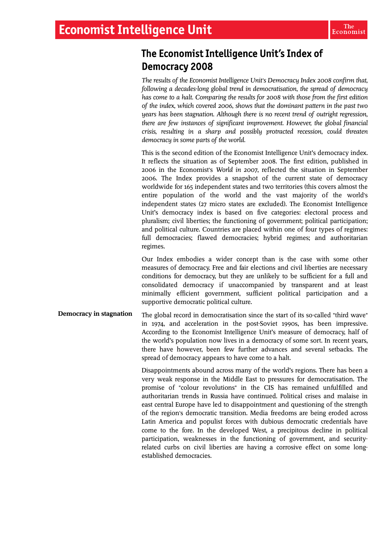# **Economist Intelligence Unit**

## The Economist Intelligence Unit's Index of Democracy 2008

*The results of the Economist Intelligence Unit's Democracy Index 2008 confirm that, following a decades-long global trend in democratisation, the spread of democracy has come to a halt. Comparing the results for 2008 with those from the first edition of the index, which covered 2006, shows that the dominant pattern in the past two years has been stagnation. Although there is no recent trend of outright regression, there are few instances of significant improvement. However, the global financial crisis, resulting in a sharp and possibly protracted recession, could threaten democracy in some parts of the world.* 

This is the second edition of the Economist Intelligence Unit's democracy index. It reflects the situation as of September 2008. The first edition, published in 2006 in the Economist's *World in 2007*, reflected the situation in September 2006. The Index provides a snapshot of the current state of democracy worldwide for 165 independent states and two territories (this covers almost the entire population of the world and the vast majority of the world's independent states (27 micro states are excluded). The Economist Intelligence Unit's democracy index is based on five categories: electoral process and pluralism; civil liberties; the functioning of government; political participation; and political culture. Countries are placed within one of four types of regimes: full democracies; flawed democracies; hybrid regimes; and authoritarian regimes.

Our Index embodies a wider concept than is the case with some other measures of democracy. Free and fair elections and civil liberties are necessary conditions for democracy, but they are unlikely to be sufficient for a full and consolidated democracy if unaccompanied by transparent and at least minimally efficient government, sufficient political participation and a supportive democratic political culture.

**Democracy in stagnation** The global record in democratisation since the start of its so-called "third wave" in 1974, and acceleration in the post-Soviet 1990s, has been impressive. According to the Economist Intelligence Unit's measure of democracy, half of the world's population now lives in a democracy of some sort. In recent years, there have however, been few further advances and several setbacks. The spread of democracy appears to have come to a halt.

> Disappointments abound across many of the world's regions. There has been a very weak response in the Middle East to pressures for democratisation. The promise of "colour revolutions" in the CIS has remained unfulfilled and authoritarian trends in Russia have continued. Political crises and malaise in east central Europe have led to disappointment and questioning of the strength of the region's democratic transition. Media freedoms are being eroded across Latin America and populist forces with dubious democratic credentials have come to the fore. In the developed West, a precipitous decline in political participation, weaknesses in the functioning of government, and securityrelated curbs on civil liberties are having a corrosive effect on some longestablished democracies.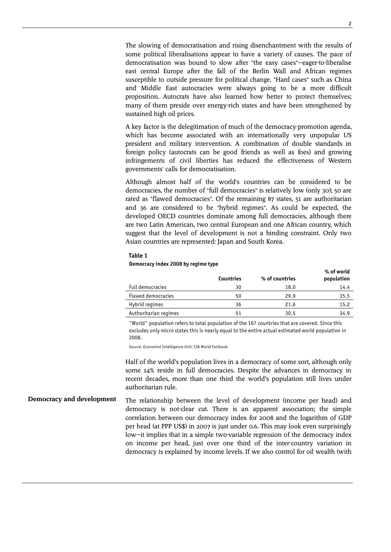The slowing of democratisation and rising disenchantment with the results of some political liberalisations appear to have a variety of causes. The pace of democratisation was bound to slow after "the easy cases"—eager-to-liberalise east central Europe after the fall of the Berlin Wall and African regimes susceptible to outside pressure for political change. "Hard cases" such as China and Middle East autocracies were always going to be a more difficult proposition. Autocrats have also learned how better to protect themselves; many of them preside over energy-rich states and have been strengthened by sustained high oil prices.

A key factor is the delegitimation of much of the democracy-promotion agenda, which has become associated with an internationally very unpopular US president and military intervention. A combination of double standards in foreign policy (autocrats can be good friends as well as foes) and growing infringements of civil liberties has reduced the effectiveness of Western governments' calls for democratisation.

Although almost half of the world's countries can be considered to be democracies, the number of "full democracies" is relatively low (only 30); 50 are rated as "flawed democracies". Of the remaining 87 states, 51 are authoritarian and 36 are considered to be "hybrid regimes". As could be expected, the developed OECD countries dominate among full democracies, although there are two Latin American, two central European and one African country, which suggest that the level of development is not a binding constraint. Only two Asian countries are represented: Japan and South Korea.

#### **Table 1**

|                         | Countries | % of countries | % of world<br>population |
|-------------------------|-----------|----------------|--------------------------|
| <b>Full democracies</b> | 30        | 18.0           | 14.4                     |
| Flawed democracies      | 50        | 29.9           | 35.5                     |
| Hybrid regimes          | 36        | 21.6           | 15.2                     |
| Authoritarian regimes   | 51        | 30.5           | 34.9                     |

#### **Democracy index 2008 by regime type**

"World" population refers to total population of the 167 countries that are covered. Since this excludes only micro states this is nearly equal to the entire actual estimated world population in 2008.

Source: Economist Intelligence Unit; CIA World Factbook

Half of the world's population lives in a democracy of some sort, although only some 14% reside in full democracies. Despite the advances in democracy in recent decades, more than one third the world's population still lives under authoritarian rule.

**Democracy and development** The relationship between the level of development (income per head) and democracy is not-clear cut. There is an apparent association; the simple correlation between our democracy index for 2008 and the logarithm of GDP per head (at PPP US\$) in 2007 is just under 0.6. This may look even surprisingly low—it implies that in a simple two-variable regression of the democracy index on income per head, just over one third of the inter-country variation in democracy is explained by income levels. If we also control for oil wealth (with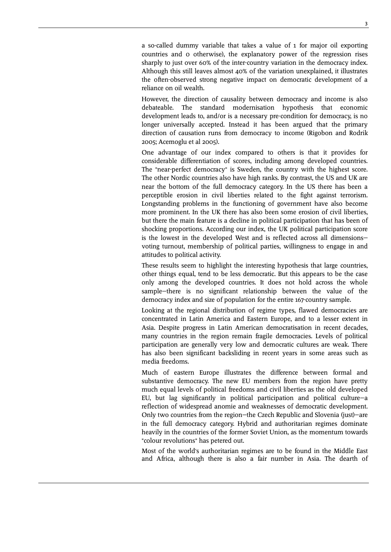a so-called dummy variable that takes a value of 1 for major oil exporting countries and 0 otherwise), the explanatory power of the regression rises sharply to just over 60% of the inter-country variation in the democracy index. Although this still leaves almost 40% of the variation unexplained, it illustrates the often-observed strong negative impact on democratic development of a reliance on oil wealth.

However, the direction of causality between democracy and income is also debateable. The standard modernisation hypothesis that economic development leads to, and/or is a necessary pre-condition for democracy, is no longer universally accepted. Instead it has been argued that the primary direction of causation runs from democracy to income (Rigobon and Rodrik 2005; Acemoglu et al 2005).

One advantage of our index compared to others is that it provides for considerable differentiation of scores, including among developed countries. The "near-perfect democracy" is Sweden, the country with the highest score. The other Nordic countries also have high ranks. By contrast, the US and UK are near the bottom of the full democracy category. In the US there has been a perceptible erosion in civil liberties related to the fight against terrorism. Longstanding problems in the functioning of government have also become more prominent. In the UK there has also been some erosion of civil liberties, but there the main feature is a decline in political participation that has been of shocking proportions. According our index, the UK political participation score is the lowest in the developed West and is reflected across all dimensions voting turnout, membership of political parties, willingness to engage in and attitudes to political activity.

These results seem to highlight the interesting hypothesis that large countries, other things equal, tend to be less democratic. But this appears to be the case only among the developed countries. It does not hold across the whole sample—there is no significant relationship between the value of the democracy index and size of population for the entire 167-country sample.

Looking at the regional distribution of regime types, flawed democracies are concentrated in Latin America and Eastern Europe, and to a lesser extent in Asia. Despite progress in Latin American democratisation in recent decades, many countries in the region remain fragile democracies. Levels of political participation are generally very low and democratic cultures are weak. There has also been significant backsliding in recent years in some areas such as media freedoms.

Much of eastern Europe illustrates the difference between formal and substantive democracy. The new EU members from the region have pretty much equal levels of political freedoms and civil liberties as the old developed EU, but lag significantly in political participation and political culture—a reflection of widespread anomie and weaknesses of democratic development. Only two countries from the region—the Czech Republic and Slovenia (just)—are in the full democracy category. Hybrid and authoritarian regimes dominate heavily in the countries of the former Soviet Union, as the momentum towards "colour revolutions" has petered out.

Most of the world's authoritarian regimes are to be found in the Middle East and Africa, although there is also a fair number in Asia. The dearth of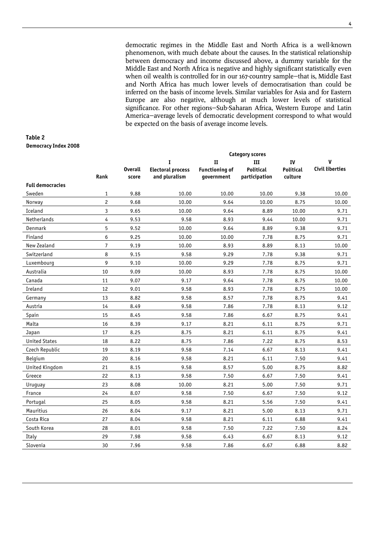democratic regimes in the Middle East and North Africa is a well-known phenomenon, with much debate about the causes. In the statistical relationship between democracy and income discussed above, a dummy variable for the Middle East and North Africa is negative and highly significant statistically even when oil wealth is controlled for in our 167-country sample—that is, Middle East and North Africa has much lower levels of democratisation than could be inferred on the basis of income levels. Similar variables for Asia and for Eastern Europe are also negative, although at much lower levels of statistical significance. For other regions—Sub-Saharan Africa, Western Europe and Latin America—average levels of democratic development correspond to what would be expected on the basis of average income levels.

| Table 2                     |
|-----------------------------|
| <b>Democracy Index 2008</b> |

|                         |                |                         |                                                |                                          | <b>Category scores</b>                   |                                   |                             |
|-------------------------|----------------|-------------------------|------------------------------------------------|------------------------------------------|------------------------------------------|-----------------------------------|-----------------------------|
|                         | Rank           | <b>Overall</b><br>score | I<br><b>Electoral process</b><br>and pluralism | п<br><b>Functioning of</b><br>government | III<br><b>Political</b><br>participation | IV<br><b>Political</b><br>culture | v<br><b>Civil liberties</b> |
| <b>Full democracies</b> |                |                         |                                                |                                          |                                          |                                   |                             |
| Sweden                  | $\mathbf{1}$   | 9.88                    | 10.00                                          | 10.00                                    | 10.00                                    | 9.38                              | 10.00                       |
| Norway                  | $\overline{c}$ | 9.68                    | 10.00                                          | 9.64                                     | 10.00                                    | 8.75                              | 10.00                       |
| Iceland                 | $\overline{3}$ | 9.65                    | 10.00                                          | 9.64                                     | 8.89                                     | 10.00                             | 9.71                        |
| Netherlands             | $\overline{4}$ | 9.53                    | 9.58                                           | 8.93                                     | 9.44                                     | 10.00                             | 9.71                        |
| Denmark                 | 5              | 9.52                    | 10.00                                          | 9.64                                     | 8.89                                     | 9.38                              | 9.71                        |
| Finland                 | 6              | 9.25                    | 10.00                                          | 10.00                                    | 7.78                                     | 8.75                              | 9.71                        |
| New Zealand             | $\overline{7}$ | 9.19                    | 10.00                                          | 8.93                                     | 8.89                                     | 8.13                              | 10.00                       |
| Switzerland             | 8              | 9.15                    | 9.58                                           | 9.29                                     | 7.78                                     | 9.38                              | 9.71                        |
| Luxembourg              | 9              | 9.10                    | 10.00                                          | 9.29                                     | 7.78                                     | 8.75                              | 9.71                        |
| Australia               | 10             | 9.09                    | 10.00                                          | 8.93                                     | 7.78                                     | 8.75                              | 10.00                       |
| Canada                  | 11             | 9.07                    | 9.17                                           | 9.64                                     | 7.78                                     | 8.75                              | 10.00                       |
| Ireland                 | 12             | 9.01                    | 9.58                                           | 8.93                                     | 7.78                                     | 8.75                              | 10.00                       |
| Germany                 | 13             | 8.82                    | 9.58                                           | 8.57                                     | 7.78                                     | 8.75                              | 9.41                        |
| Austria                 | 14             | 8.49                    | 9.58                                           | 7.86                                     | 7.78                                     | 8.13                              | 9.12                        |
| Spain                   | 15             | 8.45                    | 9.58                                           | 7.86                                     | 6.67                                     | 8.75                              | 9.41                        |
| Malta                   | 16             | 8.39                    | 9.17                                           | 8.21                                     | 6.11                                     | 8.75                              | 9.71                        |
| Japan                   | 17             | 8.25                    | 8.75                                           | 8.21                                     | 6.11                                     | 8.75                              | 9.41                        |
| <b>United States</b>    | 18             | 8.22                    | 8.75                                           | 7.86                                     | 7.22                                     | 8.75                              | 8.53                        |
| Czech Republic          | 19             | 8.19                    | 9.58                                           | 7.14                                     | 6.67                                     | 8.13                              | 9.41                        |
| Belgium                 | 20             | 8.16                    | 9.58                                           | 8.21                                     | 6.11                                     | 7.50                              | 9.41                        |
| United Kingdom          | 21             | 8.15                    | 9.58                                           | 8.57                                     | 5.00                                     | 8.75                              | 8.82                        |
| Greece                  | 22             | 8.13                    | 9.58                                           | 7.50                                     | 6.67                                     | 7.50                              | 9.41                        |
| Uruguay                 | 23             | 8.08                    | 10.00                                          | 8.21                                     | 5.00                                     | 7.50                              | 9.71                        |
| France                  | 24             | 8.07                    | 9.58                                           | 7.50                                     | 6.67                                     | 7.50                              | 9.12                        |
| Portugal                | 25             | 8.05                    | 9.58                                           | 8.21                                     | 5.56                                     | 7.50                              | 9.41                        |
| Mauritius               | 26             | 8.04                    | 9.17                                           | 8.21                                     | 5.00                                     | 8.13                              | 9.71                        |
| Costa Rica              | 27             | 8.04                    | 9.58                                           | 8.21                                     | 6.11                                     | 6.88                              | 9.41                        |
| South Korea             | 28             | 8.01                    | 9.58                                           | 7.50                                     | 7.22                                     | 7.50                              | 8.24                        |
| Italy                   | 29             | 7.98                    | 9.58                                           | 6.43                                     | 6.67                                     | 8.13                              | 9.12                        |
| Slovenia                | 30             | 7.96                    | 9.58                                           | 7.86                                     | 6.67                                     | 6.88                              | 8.82                        |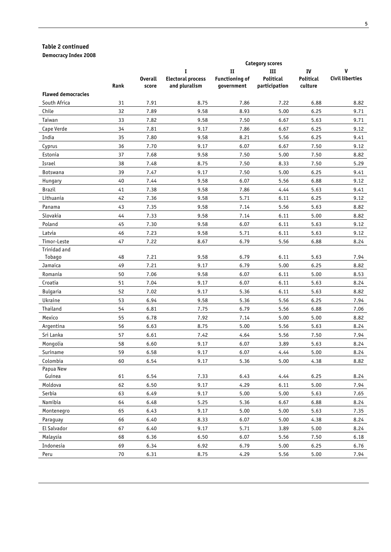|                           |      |                         |                                                |                                          | <b>Category scores</b>          |                            |                      |
|---------------------------|------|-------------------------|------------------------------------------------|------------------------------------------|---------------------------------|----------------------------|----------------------|
|                           | Rank | <b>Overall</b><br>score | I<br><b>Electoral process</b><br>and pluralism | п<br><b>Functioning of</b><br>government | Ш<br>Political<br>participation | IV<br>Political<br>culture | v<br>Civil liberties |
| <b>Flawed democracies</b> |      |                         |                                                |                                          |                                 |                            |                      |
| South Africa              | 31   | 7.91                    | 8.75                                           | 7.86                                     | 7.22                            | 6.88                       | 8.82                 |
| Chile                     | 32   | 7.89                    | 9.58                                           | 8.93                                     | 5.00                            | 6.25                       | 9.71                 |
| Taiwan                    | 33   | 7.82                    | 9.58                                           | 7.50                                     | 6.67                            | 5.63                       | 9.71                 |
| Cape Verde                | 34   | 7.81                    | 9.17                                           | 7.86                                     | 6.67                            | 6.25                       | 9.12                 |
| India                     | 35   | 7.80                    | 9.58                                           | 8.21                                     | 5.56                            | 6.25                       | 9.41                 |
| Cyprus                    | 36   | 7.70                    | 9.17                                           | 6.07                                     | 6.67                            | 7.50                       | 9.12                 |
| Estonia                   | 37   | 7.68                    | 9.58                                           | 7.50                                     | 5.00                            | 7.50                       | 8.82                 |
| Israel                    | 38   | 7.48                    | 8.75                                           | 7.50                                     | 8.33                            | 7.50                       | 5.29                 |
| Botswana                  | 39   | 7.47                    | 9.17                                           | 7.50                                     | 5.00                            | 6.25                       | 9.41                 |
| Hungary                   | 40   | 7.44                    | 9.58                                           | 6.07                                     | 5.56                            | 6.88                       | 9.12                 |
| <b>Brazil</b>             | 41   | 7.38                    | 9.58                                           | 7.86                                     | 4.44                            | 5.63                       | 9.41                 |
| Lithuania                 | 42   | 7.36                    | 9.58                                           | 5.71                                     | 6.11                            | 6.25                       | 9.12                 |
| Panama                    | 43   | 7.35                    | 9.58                                           | 7.14                                     | 5.56                            | 5.63                       | 8.82                 |
| Slovakia                  | 44   | 7.33                    | 9.58                                           | 7.14                                     | 6.11                            | 5.00                       | 8.82                 |
| Poland                    | 45   | 7.30                    | 9.58                                           | 6.07                                     | 6.11                            | 5.63                       | 9.12                 |
| Latvia                    | 46   | 7.23                    | 9.58                                           | 5.71                                     | 6.11                            | 5.63                       | 9.12                 |
| Timor-Leste               | 47   | 7.22                    | 8.67                                           | 6.79                                     | 5.56                            | 6.88                       | 8.24                 |
| Trinidad and              |      |                         |                                                |                                          |                                 |                            |                      |
| Tobago                    | 48   | 7.21                    | 9.58                                           | 6.79                                     | 6.11                            | 5.63                       | 7.94                 |
| Jamaica                   | 49   | 7.21                    | 9.17                                           | 6.79                                     | 5.00                            | 6.25                       | 8.82                 |
| Romania                   | 50   | 7.06                    | 9.58                                           | 6.07                                     | 6.11                            | 5.00                       | 8.53                 |
| Croatia                   | 51   | 7.04                    | 9.17                                           | 6.07                                     | 6.11                            | 5.63                       | 8.24                 |
| <b>Bulgaria</b>           | 52   | 7.02                    | 9.17                                           | 5.36                                     | 6.11                            | 5.63                       | 8.82                 |
| Ukraine                   | 53   | 6.94                    | 9.58                                           | 5.36                                     | 5.56                            | 6.25                       | 7.94                 |
| Thailand                  | 54   | 6.81                    | 7.75                                           | 6.79                                     | 5.56                            | 6.88                       | 7.06                 |
| Mexico                    | 55   | 6.78                    | 7.92                                           | 7.14                                     | 5.00                            | 5.00                       | 8.82                 |
| Argentina                 | 56   | 6.63                    | 8.75                                           | 5.00                                     | 5.56                            | 5.63                       | 8.24                 |
| Sri Lanka                 | 57   | 6.61                    | 7.42                                           | 4.64                                     | 5.56                            | 7.50                       | 7.94                 |
| Mongolia                  | 58   | 6.60                    | 9.17                                           | 6.07                                     | 3.89                            | 5.63                       | 8.24                 |
| Suriname                  | 59   | 6.58                    | 9.17                                           | 6.07                                     | 4.44                            | 5.00                       | 8.24                 |
| Colombia                  | 60   | 6.54                    | 9.17                                           | 5.36                                     | 5.00                            | 4.38                       | 8.82                 |
| Papua New<br>Guinea       | 61   | 6.54                    | 7.33                                           | 6.43                                     | 4.44                            | 6.25                       | 8.24                 |
| Moldova                   | 62   | 6.50                    | 9.17                                           | 4.29                                     | 6.11                            | 5.00                       | 7.94                 |
| Serbia                    | 63   | 6.49                    | 9.17                                           | 5.00                                     | 5.00                            | 5.63                       | 7.65                 |
| Namibia                   | 64   | 6.48                    | 5.25                                           | 5.36                                     | 6.67                            | 6.88                       | 8.24                 |
| Montenegro                | 65   | 6.43                    | 9.17                                           | 5.00                                     | 5.00                            | 5.63                       | 7.35                 |
| Paraguay                  | 66   | 6.40                    | 8.33                                           | 6.07                                     | 5.00                            | 4.38                       | 8.24                 |
| El Salvador               | 67   | 6.40                    | 9.17                                           | 5.71                                     | 3.89                            | 5.00                       | 8.24                 |
| Malaysia                  | 68   | 6.36                    | 6.50                                           | 6.07                                     | 5.56                            | 7.50                       | 6.18                 |
| Indonesia                 | 69   | 6.34                    | 6.92                                           | 6.79                                     | 5.00                            | 6.25                       | 6.76                 |
| Peru                      | 70   | 6.31                    | 8.75                                           | 4.29                                     | 5.56                            | 5.00                       | 7.94                 |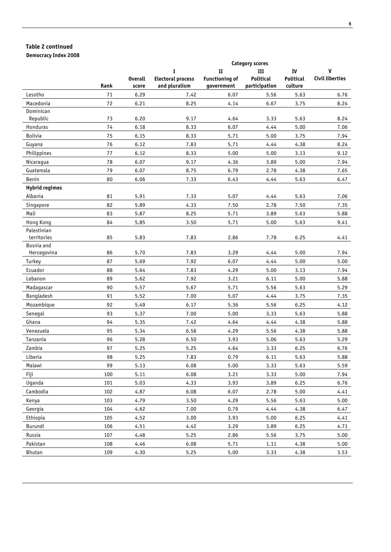|                       |      |                |                          |                       | <b>Category scores</b> |                  |                 |
|-----------------------|------|----------------|--------------------------|-----------------------|------------------------|------------------|-----------------|
|                       |      |                | I                        | п                     | Ш                      | IV               | v               |
|                       |      | <b>Overall</b> | <b>Electoral process</b> | <b>Functioning of</b> | <b>Political</b>       | <b>Political</b> | Civil liberties |
|                       | Rank | score          | and pluralism            | government            | participation          | culture          |                 |
| Lesotho               | 71   | 6.29           | 7.42                     | 6.07                  | 5.56                   | 5.63             | 6.76            |
| Macedonia             | 72   | 6.21           | 8.25                     | 4.14                  | 6.67                   | 3.75             | 8.24            |
| Dominican             |      |                |                          |                       |                        |                  |                 |
| Republic              | 73   | 6.20           | 9.17                     | 4.64                  | 3.33                   | 5.63             | 8.24            |
| Honduras              | 74   | 6.18           | 8.33                     | 6.07                  | 4.44                   | 5.00             | 7.06            |
| <b>Bolivia</b>        | 75   | 6.15           | 8.33                     | 5.71                  | 5.00                   | 3.75             | 7.94            |
| Guyana                | 76   | 6.12           | 7.83                     | 5.71                  | 4.44                   | 4.38             | 8.24            |
| Philippines           | 77   | 6.12           | 8.33                     | 5.00                  | 5.00                   | 3.13             | 9.12            |
| Nicaragua             | 78   | 6.07           | 9.17                     | 4.36                  | 3.89                   | 5.00             | 7.94            |
| Guatemala             | 79   | 6.07           | 8.75                     | 6.79                  | 2.78                   | 4.38             | 7.65            |
| Benin                 | 80   | 6.06           | 7.33                     | 6.43                  | 4.44                   | 5.63             | 6.47            |
| <b>Hybrid regimes</b> |      |                |                          |                       |                        |                  |                 |
| Albania               | 81   | 5.91           | 7.33                     | 5.07                  | 4.44                   | 5.63             | 7.06            |
| Singapore             | 82   | 5.89           | 4.33                     | 7.50                  | 2.78                   | 7.50             | 7.35            |
| Mali                  | 83   | 5.87           | 8.25                     | 5.71                  | 3.89                   | 5.63             | 5.88            |
| Hong Kong             | 84   | 5.85           | 3.50                     | 5.71                  | 5.00                   | 5.63             | 9.41            |
| Palestinian           |      |                |                          |                       |                        |                  |                 |
| territories           | 85   | 5.83           | 7.83                     | 2.86                  | 7.78                   | 6.25             | 4.41            |
| Bosnia and            |      |                |                          |                       |                        |                  |                 |
| Hercegovina           | 86   | 5.70           | 7.83                     | 3.29                  | 4.44                   | 5.00             | 7.94            |
| Turkey                | 87   | 5.69           | 7.92                     | 6.07                  | 4.44                   | 5.00             | 5.00            |
| Ecuador               | 88   | 5.64           | 7.83                     | 4.29                  | 5.00                   | 3.13             | 7.94            |
| Lebanon               | 89   | 5.62           | 7.92                     | 3.21                  | 6.11                   | 5.00             | 5.88            |
| Madagascar            | 90   | 5.57           | 5.67                     | 5.71                  | 5.56                   | 5.63             | 5.29            |
| Bangladesh            | 91   | 5.52           | 7.00                     | 5.07                  | 4.44                   | 3.75             | 7.35            |
| Mozambique            | 92   | 5.49           | 6.17                     | 5.36                  | 5.56                   | 6.25             | 4.12            |
| Senegal               | 93   | 5.37           | 7.00                     | 5.00                  | 3.33                   | 5.63             | 5.88            |
| Ghana                 | 94   | 5.35           | 7.42                     | 4.64                  | 4.44                   | 4.38             | 5.88            |
| Venezuela             | 95   | 5.34           | 6.58                     | 4.29                  | 5.56                   | 4.38             | 5.88            |
| Tanzania              | 96   | 5.28           | 6.50                     | 3.93                  | 5.06                   | 5.63             | 5.29            |
| Zambia                | 97   | 5.25           | 5.25                     | 4.64                  | 3.33                   | 6.25             | 6.76            |
| Liberia               | 98   | 5.25           | 7.83                     | 0.79                  | 6.11                   | 5.63             | 5.88            |
| Malawi                | 99   | 5.13           | 6.08                     | 5.00                  | 3.33                   | 5.63             | 5.59            |
| Fiji                  | 100  | 5.11           | 6.08                     | 3.21                  | 3.33                   | 5.00             | 7.94            |
| Uganda                | 101  | 5.03           | 4.33                     | 3.93                  | 3.89                   | 6.25             | 6.76            |
| Cambodia              | 102  | 4.87           | 6.08                     | 6.07                  | 2.78                   | 5.00             | 4.41            |
| Kenya                 | 103  | 4.79           | 3.50                     | 4.29                  | 5.56                   | 5.63             | 5.00            |
| Georgia               | 104  | 4.62           | 7.00                     | 0.79                  | 4.44                   | 4.38             | 6.47            |
| Ethiopia              | 105  | 4.52           | 3.00                     | 3.93                  | 5.00                   | 6.25             | 4.41            |
| Burundi               | 106  | 4.51           | 4.42                     | 3.29                  | 3.89                   | 6.25             | 4.71            |
| Russia                | 107  | 4.48           | 5.25                     | 2.86                  | 5.56                   | 3.75             | 5.00            |
| Pakistan              | 108  | 4.46           | 6.08                     | 5.71                  | 1.11                   | 4.38             | 5.00            |
| <b>Bhutan</b>         | 109  | 4.30           | 5.25                     | 5.00                  | 3.33                   | 4.38             | 3.53            |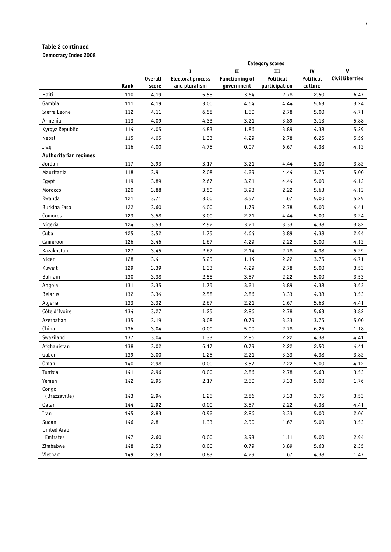|                       | <b>Category scores</b> |                         |                                                |                                          |                                        |                                   |                             |
|-----------------------|------------------------|-------------------------|------------------------------------------------|------------------------------------------|----------------------------------------|-----------------------------------|-----------------------------|
|                       | Rank                   | <b>Overall</b><br>score | I<br><b>Electoral process</b><br>and pluralism | п<br><b>Functioning of</b><br>government | Ш<br><b>Political</b><br>participation | IV<br><b>Political</b><br>culture | ٧<br><b>Civil liberties</b> |
| Haiti                 | 110                    | 4.19                    | 5.58                                           | 3.64                                     | 2.78                                   | 2.50                              | 6.47                        |
| Gambia                | 111                    | 4.19                    | 3.00                                           | 4.64                                     | 4.44                                   | 5.63                              | 3.24                        |
| Sierra Leone          | 112                    | 4.11                    | 6.58                                           | 1.50                                     | 2.78                                   | 5.00                              | 4.71                        |
| Armenia               | 113                    | 4.09                    | 4.33                                           | 3.21                                     | 3.89                                   | 3.13                              | 5.88                        |
| Kyrqyz Republic       | 114                    | 4.05                    | 4.83                                           | 1.86                                     | 3.89                                   | 4.38                              | 5.29                        |
| Nepal                 | 115                    | 4.05                    | 1.33                                           | 4.29                                     | 2.78                                   | 6.25                              | 5.59                        |
| Iraq                  | 116                    | 4.00                    | 4.75                                           | 0.07                                     | 6.67                                   | 4.38                              | 4.12                        |
| Authoritarian regimes |                        |                         |                                                |                                          |                                        |                                   |                             |
| Jordan                | 117                    | 3.93                    | 3.17                                           | 3.21                                     | 4.44                                   | 5.00                              | 3.82                        |
| Mauritania            | 118                    | 3.91                    | 2.08                                           | 4.29                                     | 4.44                                   | 3.75                              | 5.00                        |
| Egypt                 | 119                    | 3.89                    | 2.67                                           | 3.21                                     | 4.44                                   | 5.00                              | 4.12                        |
| Morocco               | 120                    | 3.88                    | 3.50                                           | 3.93                                     | 2.22                                   | 5.63                              | 4.12                        |
| Rwanda                | 121                    | 3.71                    | 3.00                                           | 3.57                                     | 1.67                                   | 5.00                              | 5.29                        |
| Burkina Faso          | 122                    | 3.60                    | 4.00                                           | 1.79                                     | 2.78                                   | 5.00                              | 4.41                        |
| Comoros               | 123                    | 3.58                    | 3.00                                           | 2.21                                     | 4.44                                   | 5.00                              | 3.24                        |
| Nigeria               | 124                    | 3.53                    | 2.92                                           | 3.21                                     | 3.33                                   | 4.38                              | 3.82                        |
| Cuba                  | 125                    | 3.52                    | 1.75                                           | 4.64                                     | 3.89                                   | 4.38                              | 2.94                        |
| Cameroon              | 126                    | 3.46                    | 1.67                                           | 4.29                                     | 2.22                                   | 5.00                              | 4.12                        |
| Kazakhstan            | 127                    | 3.45                    | 2.67                                           | 2.14                                     | 2.78                                   | 4.38                              | 5.29                        |
| Niger                 | 128                    | 3.41                    | 5.25                                           | 1.14                                     | 2.22                                   | 3.75                              | 4.71                        |
| Kuwait                | 129                    | 3.39                    | 1.33                                           | 4.29                                     | 2.78                                   | 5.00                              | 3.53                        |
| <b>Bahrain</b>        | 130                    | 3.38                    | 2.58                                           | 3.57                                     | 2.22                                   | 5.00                              | 3.53                        |
| Angola                | 131                    | 3.35                    | 1.75                                           | 3.21                                     | 3.89                                   | 4.38                              | 3.53                        |
| <b>Belarus</b>        | 132                    | 3.34                    | 2.58                                           | 2.86                                     | 3.33                                   | 4.38                              | 3.53                        |
| Algeria               | 133                    | 3.32                    | 2.67                                           | 2.21                                     | 1.67                                   | 5.63                              | 4.41                        |
| Côte d'Ivoire         | 134                    | 3.27                    | 1.25                                           | 2.86                                     | 2.78                                   | 5.63                              | 3.82                        |
| Azerbaijan            | 135                    | 3.19                    | 3.08                                           | 0.79                                     | 3.33                                   | 3.75                              | 5.00                        |
| China                 | 136                    | 3.04                    | 0.00                                           | 5.00                                     | 2.78                                   | 6.25                              | 1.18                        |
| Swaziland             | 137                    | 3.04                    | 1.33                                           | 2.86                                     | 2.22                                   | 4.38                              | 4.41                        |
| Afghanistan           | 138                    | 3.02                    | 5.17                                           | 0.79                                     | 2.22                                   | 2.50                              | 4.41                        |
| Gabon                 | 139                    | 3.00                    | 1.25                                           | 2.21                                     | 3.33                                   | 4.38                              | 3.82                        |
| Oman                  | 140                    | 2.98                    | 0.00                                           | 3.57                                     | 2.22                                   | 5.00                              | 4.12                        |
| Tunisia               | 141                    | 2.96                    | 0.00                                           | 2.86                                     | 2.78                                   | 5.63                              | 3.53                        |
| Yemen                 | 142                    | 2.95                    | 2.17                                           | 2.50                                     | 3.33                                   | 5.00                              | 1.76                        |
| Congo                 |                        |                         |                                                |                                          |                                        |                                   |                             |
| (Brazzaville)         | 143                    | 2.94                    | 1.25                                           | 2.86                                     | 3.33                                   | 3.75                              | 3.53                        |
| Qatar                 | 144                    | 2.92                    | 0.00                                           | 3.57                                     | 2.22                                   | 4.38                              | 4.41                        |
| Iran                  | 145                    | 2.83                    | 0.92                                           | 2.86                                     | 3.33                                   | 5.00                              | 2.06                        |
| Sudan                 | 146                    | 2.81                    | 1.33                                           | 2.50                                     | 1.67                                   | 5.00                              | 3.53                        |
| <b>United Arab</b>    |                        |                         |                                                |                                          |                                        |                                   |                             |
| Emirates              | 147                    | 2.60                    | 0.00                                           | 3.93                                     | 1.11                                   | 5.00                              | 2.94                        |
| Zimbabwe              | 148                    | 2.53                    | 0.00                                           | 0.79                                     | 3.89                                   | 5.63                              | 2.35                        |
| Vietnam               | 149                    | 2.53                    | 0.83                                           | 4.29                                     | 1.67                                   | 4.38                              | 1.47                        |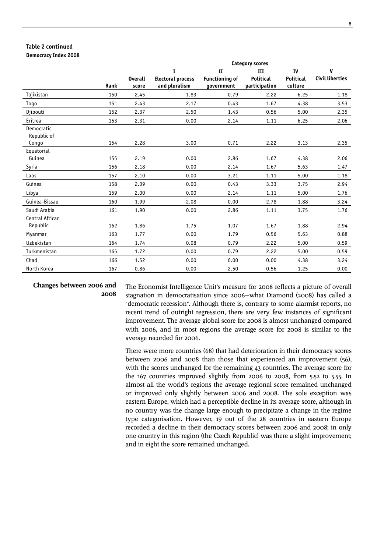|                                    |      |                         |                                                |                                                     | Category scores                        |                                   |                      |
|------------------------------------|------|-------------------------|------------------------------------------------|-----------------------------------------------------|----------------------------------------|-----------------------------------|----------------------|
|                                    | Rank | <b>Overall</b><br>score | I<br><b>Electoral process</b><br>and pluralism | $\mathbf{I}$<br><b>Functioning of</b><br>government | ш<br><b>Political</b><br>participation | IV<br><b>Political</b><br>culture | V<br>Civil liberties |
| Tajikistan                         | 150  | 2.45                    | 1.83                                           | 0.79                                                | 2.22                                   | 6.25                              | 1.18                 |
| Togo                               | 151  | 2.43                    | 2.17                                           | 0.43                                                | 1.67                                   | 4.38                              | 3.53                 |
| Djibouti                           | 152  | 2.37                    | 2.50                                           | 1.43                                                | 0.56                                   | 5.00                              | 2.35                 |
| Eritrea                            | 153  | 2.31                    | 0.00                                           | 2.14                                                | 1.11                                   | 6.25                              | 2.06                 |
| Democratic<br>Republic of<br>Congo | 154  | 2.28                    | 3.00                                           | 0.71                                                | 2.22                                   | 3.13                              | 2.35                 |
| Equatorial                         |      |                         |                                                |                                                     |                                        |                                   |                      |
| Guinea                             | 155  | 2.19                    | 0.00                                           | 2.86                                                | 1.67                                   | 4.38                              | 2.06                 |
| Syria                              | 156  | 2.18                    | 0.00                                           | 2.14                                                | 1.67                                   | 5.63                              | 1.47                 |
| Laos                               | 157  | 2.10                    | 0.00                                           | 3.21                                                | 1.11                                   | 5.00                              | 1.18                 |
| Guinea                             | 158  | 2.09                    | 0.00                                           | 0.43                                                | 3.33                                   | 3.75                              | 2.94                 |
| Libya                              | 159  | 2.00                    | 0.00                                           | 2.14                                                | 1.11                                   | 5.00                              | 1.76                 |
| Guinea-Bissau                      | 160  | 1.99                    | 2.08                                           | 0.00                                                | 2.78                                   | 1.88                              | 3.24                 |
| Saudi Arabia                       | 161  | 1.90                    | 0.00                                           | 2.86                                                | 1.11                                   | 3.75                              | 1.76                 |
| Central African<br>Republic        | 162  | 1.86                    | 1.75                                           | 1.07                                                | 1.67                                   | 1.88                              | 2.94                 |
| Myanmar                            | 163  | 1.77                    | 0.00                                           | 1.79                                                | 0.56                                   | 5.63                              | 0.88                 |
| Uzbekistan                         | 164  | 1.74                    | 0.08                                           | 0.79                                                | 2.22                                   | 5.00                              | 0.59                 |
| Turkmenistan                       | 165  | 1.72                    | 0.00                                           | 0.79                                                | 2.22                                   | 5.00                              | 0.59                 |
| Chad                               | 166  | 1.52                    | 0.00                                           | 0.00                                                | 0.00                                   | 4.38                              | 3.24                 |
| North Korea                        | 167  | 0.86                    | 0.00                                           | 2.50                                                | 0.56                                   | 1.25                              | 0.00                 |

## **Changes between 2006 and**

**2008**

The Economist Intelligence Unit's measure for 2008 reflects a picture of overall stagnation in democratisation since 2006—what Diamond (2008) has called a "democratic recession". Although there is, contrary to some alarmist reports, no recent trend of outright regression, there are very few instances of significant improvement. The average global score for 2008 is almost unchanged compared with 2006, and in most regions the average score for 2008 is similar to the average recorded for 2006.

There were more countries (68) that had deterioration in their democracy scores between 2006 and 2008 than those that experienced an improvement (56), with the scores unchanged for the remaining 43 countries. The average score for the 167 countries improved slightly from 2006 to 2008, from 5.52 to 5.55. In almost all the world's regions the average regional score remained unchanged or improved only slightly between 2006 and 2008. The sole exception was eastern Europe, which had a perceptible decline in its average score, although in no country was the change large enough to precipitate a change in the regime type categorisation. However, 19 out of the 28 countries in eastern Europe recorded a decline in their democracy scores between 2006 and 2008; in only one country in this region (the Czech Republic) was there a slight improvement; and in eight the score remained unchanged.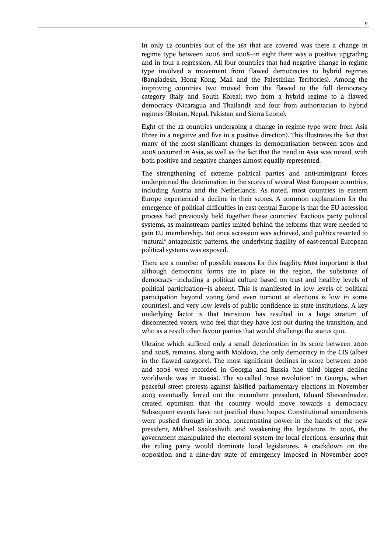In only 12 countries out of the 167 that are covered was there a change in regime type between 2006 and 2008—in eight there was a positive upgrading and in four a regression. All four countries that had negative change in regime type involved a movement from flawed democracies to hybrid regimes (Bangladesh, Hong Kong, Mali and the Palestinian Territories). Among the improving countries two moved from the flawed to the full democracy category (Italy and South Korea); two from a hybrid regime to a flawed democracy (Nicaragua and Thailand); and four from authoritarian to hybrid regimes (Bhutan, Nepal, Pakistan and Sierra Leone).

Eight of the 12 countries undergoing a change in regime type were from Asia (three in a negative and five in a positive direction). This illustrates the fact that many of the most significant changes in democratisation between 2006 and 2008 occurred in Asia, as well as the fact that the trend in Asia was mixed, with both positive and negative changes almost equally represented.

The strengthening of extreme political parties and anti-immigrant forces underpinned the deterioration in the scores of several West European countries, including Austria and the Netherlands. As noted, most countries in eastern Europe experienced a decline in their scores. A common explanation for the emergence of political difficulties in east central Europe is that the EU accession process had previously held together these countries' fractious party political systems, as mainstream parties united behind the reforms that were needed to gain EU membership. But once accession was achieved, and politics reverted to "natural" antagonistic patterns, the underlying fragility of east-central European political systems was exposed.

There are a number of possible reasons for this fragility. Most important is that although democratic forms are in place in the region, the substance of democracy—including a political culture based on trust and healthy levels of political participation—is absent. This is manifested in low levels of political participation beyond voting (and even turnout at elections is low in some countries), and very low levels of public confidence in state institutions. A key underlying factor is that transition has resulted in a large stratum of discontented voters, who feel that they have lost out during the transition, and who as a result often favour parties that would challenge the status quo.

Ukraine which suffered only a small deterioration in its score between 2006 and 2008, remains, along with Moldova, the only democracy in the CIS (albeit in the flawed category). The most significant declines in score between 2006 and 2008 were recorded in Georgia and Russia (the third biggest decline worldwide was in Russia). The so-called "rose revolution" in Georgia, when peaceful street protests against falsified parliamentary elections in November 2003 eventually forced out the incumbent president, Eduard Shevardnadze, created optimism that the country would move towards a democracy. Subsequent events have not justified these hopes. Constitutional amendments were pushed through in 2004, concentrating power in the hands of the new president, Mikheil Saakashvili, and weakening the legislature. In 2006, the government manipulated the electoral system for local elections, ensuring that the ruling party would dominate local legislatures. A crackdown on the opposition and a nine-day state of emergency imposed in November 2007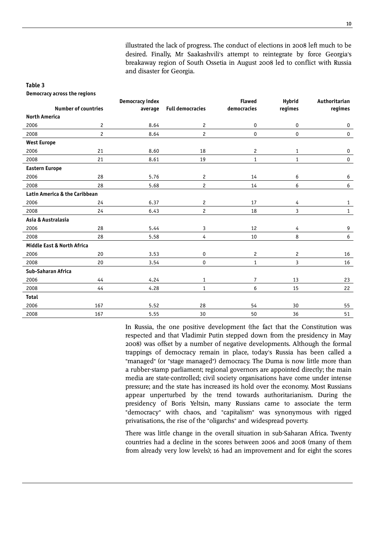illustrated the lack of progress. The conduct of elections in 2008 left much to be desired. Finally, Mr Saakashvili's attempt to reintegrate by force Georgia's breakaway region of South Ossetia in August 2008 led to conflict with Russia and disaster for Georgia.

#### **Table 3**

**Democracy across the regions** 

|                               |                            | <b>Democracy index</b> |                         | <b>Flawed</b>  | Hybrid         | Authoritarian    |
|-------------------------------|----------------------------|------------------------|-------------------------|----------------|----------------|------------------|
|                               | <b>Number of countries</b> | average                | <b>Full democracies</b> | democracies    | regimes        | regimes          |
| <b>North America</b>          |                            |                        |                         |                |                |                  |
| 2006                          | $\overline{c}$             | 8.64                   | 2                       | 0              | 0              | $\mathbf 0$      |
| 2008                          | $\overline{c}$             | 8.64                   | $\overline{c}$          | 0              | 0              | 0                |
| <b>West Europe</b>            |                            |                        |                         |                |                |                  |
| 2006                          | 21                         | 8.60                   | 18                      | $\overline{c}$ | 1              | $\boldsymbol{0}$ |
| 2008                          | 21                         | 8.61                   | 19                      | $\mathbf{1}$   | $\mathbf{1}$   | $\mathbf 0$      |
| <b>Eastern Europe</b>         |                            |                        |                         |                |                |                  |
| 2006                          | 28                         | 5.76                   | $\overline{c}$          | 14             | 6              | 6                |
| 2008                          | 28                         | 5.68                   | $\overline{c}$          | 14             | 6              | 6                |
| Latin America & the Caribbean |                            |                        |                         |                |                |                  |
| 2006                          | 24                         | 6.37                   | 2                       | 17             | 4              | $\mathbf{1}$     |
| 2008                          | 24                         | 6.43                   | $\overline{c}$          | 18             | 3              | $\mathbf{1}$     |
| Asia & Australasia            |                            |                        |                         |                |                |                  |
| 2006                          | 28                         | 5.44                   | 3                       | 12             | 4              | 9                |
| 2008                          | 28                         | 5.58                   | 4                       | 10             | 8              | 6                |
| Middle East & North Africa    |                            |                        |                         |                |                |                  |
| 2006                          | 20                         | 3.53                   | 0                       | $\overline{c}$ | $\overline{c}$ | 16               |
| 2008                          | 20                         | 3.54                   | $\mathbf 0$             | $\mathbf{1}$   | 3              | 16               |
| Sub-Saharan Africa            |                            |                        |                         |                |                |                  |
| 2006                          | 44                         | 4.24                   | 1                       | $\overline{7}$ | 13             | 23               |
| 2008                          | 44                         | 4.28                   | $\mathbf{1}$            | 6              | 15             | 22               |
| <b>Total</b>                  |                            |                        |                         |                |                |                  |
| 2006                          | 167                        | 5.52                   | 28                      | 54             | 30             | 55               |
| 2008                          | 167                        | 5.55                   | 30                      | 50             | 36             | 51               |

In Russia, the one positive development (the fact that the Constitution was respected and that Vladimir Putin stepped down from the presidency in May 2008) was offset by a number of negative developments. Although the formal trappings of democracy remain in place, today's Russia has been called a "managed" (or "stage managed") democracy. The Duma is now little more than a rubber-stamp parliament; regional governors are appointed directly; the main media are state-controlled; civil society organisations have come under intense pressure; and the state has increased its hold over the economy. Most Russians appear unperturbed by the trend towards authoritarianism. During the presidency of Boris Yeltsin, many Russians came to associate the term "democracy" with chaos, and "capitalism" was synonymous with rigged privatisations, the rise of the "oligarchs" and widespread poverty.

There was little change in the overall situation in sub-Saharan Africa. Twenty countries had a decline in the scores between 2006 and 2008 (many of them from already very low levels); 16 had an improvement and for eight the scores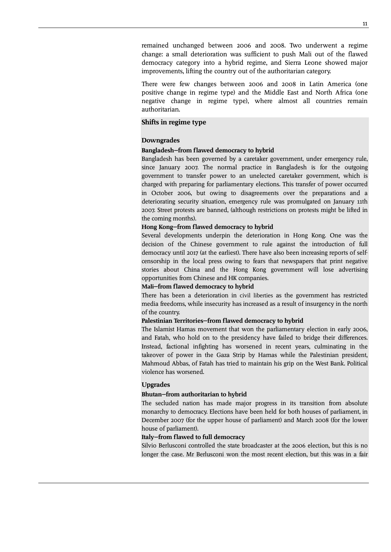remained unchanged between 2006 and 2008. Two underwent a regime change: a small deterioration was sufficient to push Mali out of the flawed democracy category into a hybrid regime, and Sierra Leone showed major improvements, lifting the country out of the authoritarian category.

There were few changes between 2006 and 2008 in Latin America (one positive change in regime type) and the Middle East and North Africa (one negative change in regime type), where almost all countries remain authoritarian.

## **Shifts in regime type**

#### **Downgrades**

#### **Bangladesh—from flawed democracy to hybrid**

Bangladesh has been governed by a caretaker government, under emergency rule, since January 2007. The normal practice in Bangladesh is for the outgoing government to transfer power to an unelected caretaker government, which is charged with preparing for parliamentary elections. This transfer of power occurred in October 2006, but owing to disagreements over the preparations and a deteriorating security situation, emergency rule was promulgated on January 11th 2007. Street protests are banned, (although restrictions on protests might be lifted in the coming months).

#### **Hong Kong—from flawed democracy to hybrid**

Several developments underpin the deterioration in Hong Kong. One was the decision of the Chinese government to rule against the introduction of full democracy until 2017 (at the earliest). There have also been increasing reports of selfcensorship in the local press owing to fears that newspapers that print negative stories about China and the Hong Kong government will lose advertising opportunities from Chinese and HK companies.

#### **Mali—from flawed democracy to hybrid**

There has been a deterioration in civil liberties as the government has restricted media freedoms, while insecurity has increased as a result of insurgency in the north of the country.

#### **Palestinian Territories—from flawed democracy to hybrid**

The Islamist Hamas movement that won the parliamentary election in early 2006, and Fatah, who hold on to the presidency have failed to bridge their differences. Instead, factional infighting has worsened in recent years, culminating in the takeover of power in the Gaza Strip by Hamas while the Palestinian president, Mahmoud Abbas, of Fatah has tried to maintain his grip on the West Bank. Political violence has worsened.

#### **Upgrades**

#### **Bhutan—from authoritarian to hybrid**

The secluded nation has made major progress in its transition from absolute monarchy to democracy. Elections have been held for both houses of parliament, in December 2007 (for the upper house of parliament) and March 2008 (for the lower house of parliament).

#### **Italy—from flawed to full democracy**

Silvio Berlusconi controlled the state broadcaster at the 2006 election, but this is no longer the case. Mr Berlusconi won the most recent election, but this was in a fair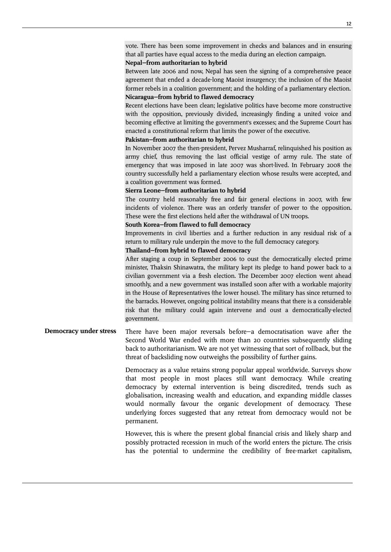vote. There has been some improvement in checks and balances and in ensuring that all parties have equal access to the media during an election campaign.

**Nepal—from authoritarian to hybrid** 

Between late 2006 and now, Nepal has seen the signing of a comprehensive peace agreement that ended a decade-long Maoist insurgency; the inclusion of the Maoist former rebels in a coalition government; and the holding of a parliamentary election. **Nicaragua—from hybrid to flawed democracy** 

Recent elections have been clean; legislative politics have become more constructive with the opposition, previously divided, increasingly finding a united voice and becoming effective at limiting the government's excesses; and the Supreme Court has enacted a constitutional reform that limits the power of the executive.

## **Pakistan—from authoritarian to hybrid**

In November 2007 the then-president, Pervez Musharraf, relinquished his position as army chief, thus removing the last official vestige of army rule. The state of emergency that was imposed in late 2007 was short-lived. In February 2008 the country successfully held a parliamentary election whose results were accepted, and a coalition government was formed.

## **Sierra Leone—from authoritarian to hybrid**

The country held reasonably free and fair general elections in 2007, with few incidents of violence. There was an orderly transfer of power to the opposition. These were the first elections held after the withdrawal of UN troops.

## **South Korea—from flawed to full democracy**

Improvements in civil liberties and a further reduction in any residual risk of a return to military rule underpin the move to the full democracy category.

#### **Thailand—from hybrid to flawed democracy**

After staging a coup in September 2006 to oust the democratically elected prime minister, Thaksin Shinawatra, the military kept its pledge to hand power back to a civilian government via a fresh election. The December 2007 election went ahead smoothly, and a new government was installed soon after with a workable majority in the House of Representatives (the lower house). The military has since returned to the barracks. However, ongoing political instability means that there is a considerable risk that the military could again intervene and oust a democratically-elected government.

## **Democracy under stress** There have been major reversals before—a democratisation wave after the Second World War ended with more than 20 countries subsequently sliding back to authoritarianism. We are not yet witnessing that sort of rollback, but the threat of backsliding now outweighs the possibility of further gains.

Democracy as a value retains strong popular appeal worldwide. Surveys show that most people in most places still want democracy. While creating democracy by external intervention is being discredited, trends such as globalisation, increasing wealth and education, and expanding middle classes would normally favour the organic development of democracy. These underlying forces suggested that any retreat from democracy would not be permanent.

However, this is where the present global financial crisis and likely sharp and possibly protracted recession in much of the world enters the picture. The crisis has the potential to undermine the credibility of free-market capitalism,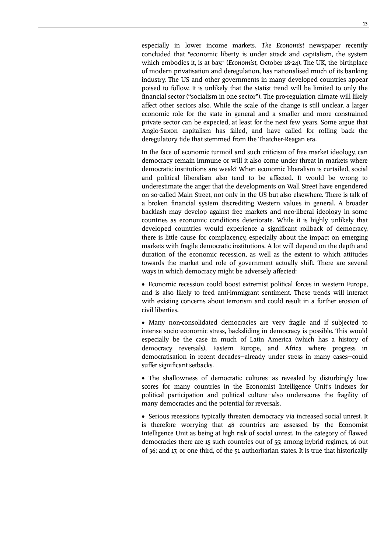especially in lower income markets. *The Economist* newspaper recently concluded that "economic liberty is under attack and capitalism, the system which embodies it, is at bay." (*Economist*, October 18-24). The UK, the birthplace of modern privatisation and deregulation, has nationalised much of its banking industry. The US and other governments in many developed countries appear poised to follow. It is unlikely that the statist trend will be limited to only the financial sector ("socialism in one sector"). The pro-regulation climate will likely affect other sectors also. While the scale of the change is still unclear, a larger economic role for the state in general and a smaller and more constrained private sector can be expected, at least for the next few years. Some argue that Anglo-Saxon capitalism has failed, and have called for rolling back the deregulatory tide that stemmed from the Thatcher-Reagan era.

In the face of economic turmoil and such criticism of free market ideology, can democracy remain immune or will it also come under threat in markets where democratic institutions are weak? When economic liberalism is curtailed, social and political liberalism also tend to be affected. It would be wrong to underestimate the anger that the developments on Wall Street have engendered on so-called Main Street, not only in the US but also elsewhere. There is talk of a broken financial system discrediting Western values in general. A broader backlash may develop against free markets and neo-liberal ideology in some countries as economic conditions deteriorate. While it is highly unlikely that developed countries would experience a significant rollback of democracy, there is little cause for complacency, especially about the impact on emerging markets with fragile democratic institutions. A lot will depend on the depth and duration of the economic recession, as well as the extent to which attitudes towards the market and role of government actually shift. There are several ways in which democracy might be adversely affected:

• Economic recession could boost extremist political forces in western Europe, and is also likely to feed anti-immigrant sentiment. These trends will interact with existing concerns about terrorism and could result in a further erosion of civil liberties.

• Many non-consolidated democracies are very fragile and if subjected to intense socio-economic stress, backsliding in democracy is possible. This would especially be the case in much of Latin America (which has a history of democracy reversals), Eastern Europe, and Africa where progress in democratisation in recent decades—already under stress in many cases—could suffer significant setbacks.

• The shallowness of democratic cultures—as revealed by disturbingly low scores for many countries in the Economist Intelligence Unit's indexes for political participation and political culture—also underscores the fragility of many democracies and the potential for reversals.

• Serious recessions typically threaten democracy via increased social unrest. It is therefore worrying that 48 countries are assessed by the Economist Intelligence Unit as being at high risk of social unrest. In the category of flawed democracies there are 15 such countries out of 55; among hybrid regimes, 16 out of 36; and 17, or one third, of the 51 authoritarian states. It is true that historically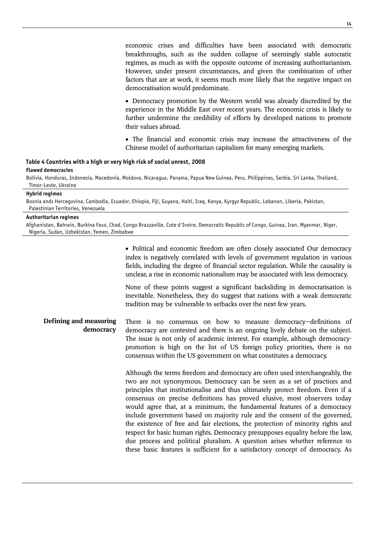14

economic crises and difficulties have been associated with democratic breakthroughs, such as the sudden collapse of seemingly stable autocratic regimes, as much as with the opposite outcome of increasing authoritarianism. However, under present circumstances, and given the combination of other factors that are at work, it seems much more likely that the negative impact on democratisation would predominate.

• Democracy promotion by the Western world was already discredited by the experience in the Middle East over recent years. The economic crisis is likely to further undermine the credibility of efforts by developed nations to promote their values abroad.

• The financial and economic crisis may increase the attractiveness of the Chinese model of authoritarian capitalism for many emerging markets.

#### **Table 4 Countries with a high or very high risk of social unrest, 2008 Flawed democracies**

Bolivia, Honduras, Indonesia, Macedonia, Moldova, Nicaragua, Panama, Papua New Guinea, Peru, Philippines, Serbia, Sri Lanka, Thailand, Timor-Leste, Ukraine

## **Hybrid regimes**

Bosnia ands Hercegovina, Cambodia, Ecuador, Ehiopia, Fiji, Guyana, Haiti, Iraq, Kenya, Kyrgyz Republic, Lebanon, Liberia, Pakistan, Palestinian Territories, Venezuela

#### **Authoritarian regimes**

Afghanistan, Bahrain, Burkina Faso, Chad, Congo Brazzaville, Cote d'Ivoire, Democratic Republic of Congo, Guinea, Iran, Myanmar, Niger, Nigeria, Sudan, Uzbekistan, Yemen, Zimbabwe

> • Political and economic freedom are often closely associated Our democracy index is negatively correlated with levels of government regulation in various fields, including the degree of financial sector regulation. While the causality is unclear, a rise in economic nationalism may be associated with less democracy.

> None of these points suggest a significant backsliding in democratisation is inevitable. Nonetheless, they do suggest that nations with a weak democratic tradition may be vulnerable to setbacks over the next few years.

**Defining and measuring democracy** There is no consensus on how to measure democracy—definitions of democracy are contested and there is an ongoing lively debate on the subject. The issue is not only of academic interest. For example, although democracypromotion is high on the list of US foreign policy priorities, there is no consensus within the US government on what constitutes a democracy.

> Although the terms freedom and democracy are often used interchangeably, the two are not synonymous. Democracy can be seen as a set of practices and principles that institutionalise and thus ultimately protect freedom. Even if a consensus on precise definitions has proved elusive, most observers today would agree that, at a minimum, the fundamental features of a democracy include government based on majority rule and the consent of the governed, the existence of free and fair elections, the protection of minority rights and respect for basic human rights. Democracy presupposes equality before the law, due process and political pluralism. A question arises whether reference to these basic features is sufficient for a satisfactory concept of democracy. As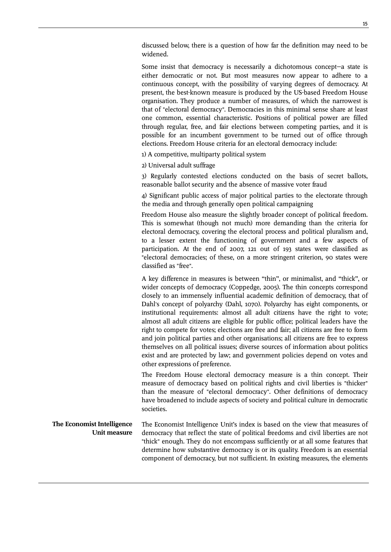Some insist that democracy is necessarily a dichotomous concept—a state is either democratic or not. But most measures now appear to adhere to a continuous concept, with the possibility of varying degrees of democracy. At present, the best-known measure is produced by the US-based Freedom House organisation. They produce a number of measures, of which the narrowest is that of "electoral democracy". Democracies in this minimal sense share at least one common, essential characteristic. Positions of political power are filled through regular, free, and fair elections between competing parties, and it is possible for an incumbent government to be turned out of office through elections. Freedom House criteria for an electoral democracy include:

1) A competitive, multiparty political system

2) Universal adult suffrage

3) Regularly contested elections conducted on the basis of secret ballots, reasonable ballot security and the absence of massive voter fraud

4) Significant public access of major political parties to the electorate through the media and through generally open political campaigning

Freedom House also measure the slightly broader concept of political freedom. This is somewhat (though not much) more demanding than the criteria for electoral democracy, covering the electoral process and political pluralism and, to a lesser extent the functioning of government and a few aspects of participation. At the end of 2007, 121 out of 193 states were classified as "electoral democracies; of these, on a more stringent criterion, 90 states were classified as "free".

A key difference in measures is between "thin", or minimalist, and "thick", or wider concepts of democracy (Coppedge, 2005). The thin concepts correspond closely to an immensely influential academic definition of democracy, that of Dahl's concept of polyarchy (Dahl, 1070). Polyarchy has eight components, or institutional requirements: almost all adult citizens have the right to vote; almost all adult citizens are eligible for public office; political leaders have the right to compete for votes; elections are free and fair; all citizens are free to form and join political parties and other organisations; all citizens are free to express themselves on all political issues; diverse sources of information about politics exist and are protected by law; and government policies depend on votes and other expressions of preference.

The Freedom House electoral democracy measure is a thin concept. Their measure of democracy based on political rights and civil liberties is "thicker" than the measure of "electoral democracy". Other definitions of democracy have broadened to include aspects of society and political culture in democratic societies.

**The Economist Intelligence Unit measure** The Economist Intelligence Unit's index is based on the view that measures of democracy that reflect the state of political freedoms and civil liberties are not "thick" enough. They do not encompass sufficiently or at all some features that determine how substantive democracy is or its quality. Freedom is an essential component of democracy, but not sufficient. In existing measures, the elements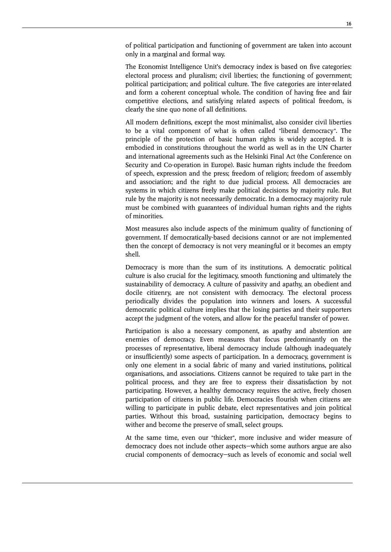of political participation and functioning of government are taken into account only in a marginal and formal way.

The Economist Intelligence Unit's democracy index is based on five categories: electoral process and pluralism; civil liberties; the functioning of government; political participation; and political culture. The five categories are inter-related and form a coherent conceptual whole. The condition of having free and fair competitive elections, and satisfying related aspects of political freedom, is clearly the sine quo none of all definitions.

All modern definitions, except the most minimalist, also consider civil liberties to be a vital component of what is often called "liberal democracy". The principle of the protection of basic human rights is widely accepted. It is embodied in constitutions throughout the world as well as in the UN Charter and international agreements such as the Helsinki Final Act (the Conference on Security and Co-operation in Europe). Basic human rights include the freedom of speech, expression and the press; freedom of religion; freedom of assembly and association; and the right to due judicial process. All democracies are systems in which citizens freely make political decisions by majority rule. But rule by the majority is not necessarily democratic. In a democracy majority rule must be combined with guarantees of individual human rights and the rights of minorities.

Most measures also include aspects of the minimum quality of functioning of government. If democratically-based decisions cannot or are not implemented then the concept of democracy is not very meaningful or it becomes an empty shell.

Democracy is more than the sum of its institutions. A democratic political culture is also crucial for the legitimacy, smooth functioning and ultimately the sustainability of democracy. A culture of passivity and apathy, an obedient and docile citizenry, are not consistent with democracy. The electoral process periodically divides the population into winners and losers. A successful democratic political culture implies that the losing parties and their supporters accept the judgment of the voters, and allow for the peaceful transfer of power.

Participation is also a necessary component, as apathy and abstention are enemies of democracy. Even measures that focus predominantly on the processes of representative, liberal democracy include (although inadequately or insufficiently) some aspects of participation. In a democracy, government is only one element in a social fabric of many and varied institutions, political organisations, and associations. Citizens cannot be required to take part in the political process, and they are free to express their dissatisfaction by not participating. However, a healthy democracy requires the active, freely chosen participation of citizens in public life. Democracies flourish when citizens are willing to participate in public debate, elect representatives and join political parties. Without this broad, sustaining participation, democracy begins to wither and become the preserve of small, select groups.

At the same time, even our "thicker", more inclusive and wider measure of democracy does not include other aspects—which some authors argue are also crucial components of democracy—such as levels of economic and social well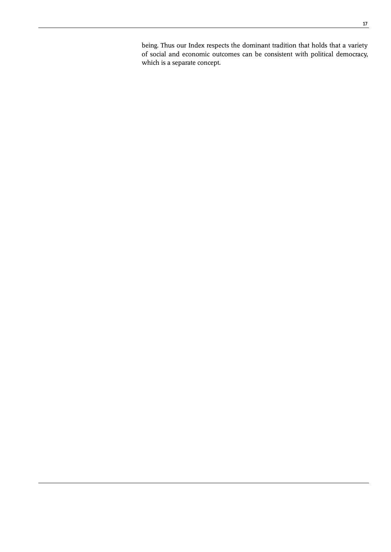being. Thus our Index respects the dominant tradition that holds that a variety of social and economic outcomes can be consistent with political democracy, which is a separate concept.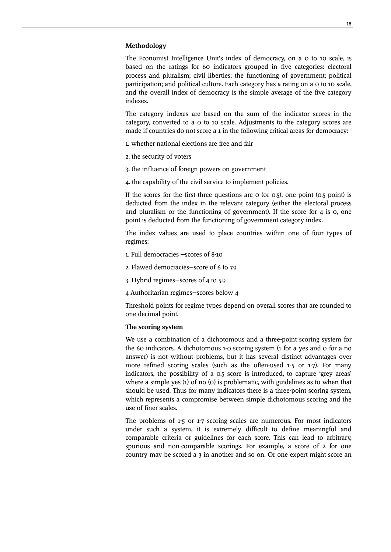## **Methodology**

The Economist Intelligence Unit's index of democracy, on a 0 to 10 scale, is based on the ratings for 60 indicators grouped in five categories: electoral process and pluralism; civil liberties; the functioning of government; political participation; and political culture. Each category has a rating on a 0 to 10 scale, and the overall index of democracy is the simple average of the five category indexes.

The category indexes are based on the sum of the indicator scores in the category, converted to a 0 to 10 scale. Adjustments to the category scores are made if countries do not score a 1 in the following critical areas for democracy:

1. whether national elections are free and fair

2. the security of voters

3. the influence of foreign powers on government

4. the capability of the civil service to implement policies.

If the scores for the first three questions are  $\sigma$  (or  $\sigma$ , $\sigma$ ), one point ( $\sigma$ , $\sigma$ , $\sigma$ ) is deducted from the index in the relevant category (either the electoral process and pluralism or the functioning of government). If the score for  $4$  is  $\alpha$ , one point is deducted from the functioning of government category index.

The index values are used to place countries within one of four types of regimes:

- 1. Full democracies —scores of 8-10
- 2. Flawed democracies—score of 6 to 7.9
- 3. Hybrid regimes—scores of 4 to 5.9
- 4 Authoritarian regimes—scores below 4

Threshold points for regime types depend on overall scores that are rounded to one decimal point.

## **The scoring system**

We use a combination of a dichotomous and a three-point scoring system for the 60 indicators. A dichotomous 1-0 scoring system (1 for a yes and 0 for a no answer) is not without problems, but it has several distinct advantages over more refined scoring scales (such as the often-used 1-5 or 1-7). For many indicators, the possibility of a 0.5 score is introduced, to capture 'grey areas' where a simple yes (1) of no (0) is problematic, with guidelines as to when that should be used. Thus for many indicators there is a three-point scoring system, which represents a compromise between simple dichotomous scoring and the use of finer scales.

The problems of 1-5 or 1-7 scoring scales are numerous. For most indicators under such a system, it is extremely difficult to define meaningful and comparable criteria or guidelines for each score. This can lead to arbitrary, spurious and non-comparable scorings. For example, a score of 2 for one country may be scored a 3 in another and so on. Or one expert might score an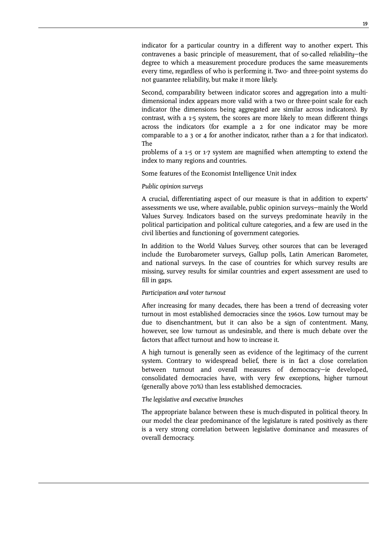indicator for a particular country in a different way to another expert. This contravenes a basic principle of measurement, that of so-called *reliability*—the degree to which a measurement procedure produces the same measurements every time, regardless of who is performing it. Two- and three-point systems do not guarantee reliability, but make it more likely.

Second, comparability between indicator scores and aggregation into a multidimensional index appears more valid with a two or three-point scale for each indicator (the dimensions being aggregated are similar across indicators). By contrast, with a 1-5 system, the scores are more likely to mean different things across the indicators (for example a 2 for one indicator may be more comparable to a 3 or 4 for another indicator, rather than a 2 for that indicator). The

problems of a 1-5 or 1-7 system are magnified when attempting to extend the index to many regions and countries.

Some features of the Economist Intelligence Unit index

#### *Public opinion surveys*

A crucial, differentiating aspect of our measure is that in addition to experts' assessments we use, where available, public opinion surveys—mainly the World Values Survey. Indicators based on the surveys predominate heavily in the political participation and political culture categories, and a few are used in the civil liberties and functioning of government categories.

In addition to the World Values Survey, other sources that can be leveraged include the Eurobarometer surveys, Gallup polls, Latin American Barometer, and national surveys. In the case of countries for which survey results are missing, survey results for similar countries and expert assessment are used to fill in gaps.

#### *Participation and voter turnout*

After increasing for many decades, there has been a trend of decreasing voter turnout in most established democracies since the 1960s. Low turnout may be due to disenchantment, but it can also be a sign of contentment. Many, however, see low turnout as undesirable, and there is much debate over the factors that affect turnout and how to increase it.

A high turnout is generally seen as evidence of the legitimacy of the current system. Contrary to widespread belief, there is in fact a close correlation between turnout and overall measures of democracy—ie developed, consolidated democracies have, with very few exceptions, higher turnout (generally above 70%) than less established democracies.

*The legislative and executive branches* 

The appropriate balance between these is much-disputed in political theory. In our model the clear predominance of the legislature is rated positively as there is a very strong correlation between legislative dominance and measures of overall democracy.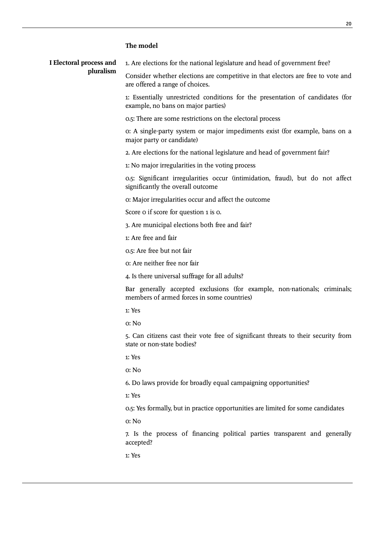#### **The model**

**I Electoral process and pluralism** 1. Are elections for the national legislature and head of government free?

Consider whether elections are competitive in that electors are free to vote and are offered a range of choices.

1: Essentially unrestricted conditions for the presentation of candidates (for example, no bans on major parties)

0.5: There are some restrictions on the electoral process

0: A single-party system or major impediments exist (for example, bans on a major party or candidate)

2. Are elections for the national legislature and head of government fair?

1: No major irregularities in the voting process

0.5: Significant irregularities occur (intimidation, fraud), but do not affect significantly the overall outcome

0: Major irregularities occur and affect the outcome

Score 0 if score for question 1 is 0.

3. Are municipal elections both free and fair?

1: Are free and fair

0.5: Are free but not fair

0: Are neither free nor fair

4. Is there universal suffrage for all adults?

Bar generally accepted exclusions (for example, non-nationals; criminals; members of armed forces in some countries)

1: Yes

0: No

5. Can citizens cast their vote free of significant threats to their security from state or non-state bodies?

1: Yes

0: No

6. Do laws provide for broadly equal campaigning opportunities?

1: Yes

0.5: Yes formally, but in practice opportunities are limited for some candidates

0: No

7. Is the process of financing political parties transparent and generally accepted?

1: Yes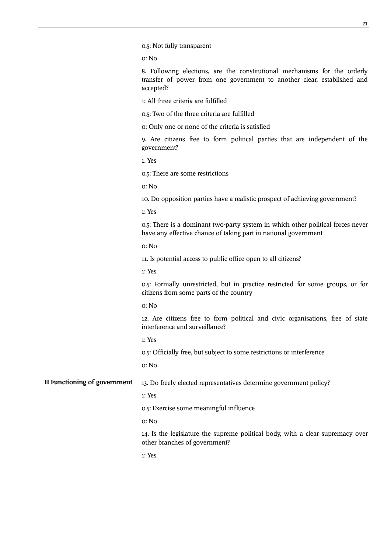0.5: Not fully transparent

0: No

8. Following elections, are the constitutional mechanisms for the orderly transfer of power from one government to another clear, established and accepted?

1: All three criteria are fulfilled

0.5: Two of the three criteria are fulfilled

0: Only one or none of the criteria is satisfied

9. Are citizens free to form political parties that are independent of the government?

1. Yes

0.5: There are some restrictions

0: No

10. Do opposition parties have a realistic prospect of achieving government?

1: Yes

0.5: There is a dominant two-party system in which other political forces never have any effective chance of taking part in national government

0: No

11. Is potential access to public office open to all citizens?

1: Yes

0.5: Formally unrestricted, but in practice restricted for some groups, or for citizens from some parts of the country

0: No

12. Are citizens free to form political and civic organisations, free of state interference and surveillance?

1: Yes

0.5: Officially free, but subject to some restrictions or interference

0: No

**II Functioning of government** 13. Do freely elected representatives determine government policy?

1: Yes

0.5: Exercise some meaningful influence

0: No

14. Is the legislature the supreme political body, with a clear supremacy over other branches of government?

1: Yes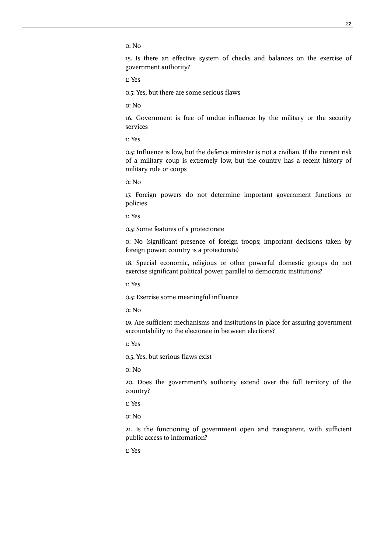## 0: No

15. Is there an effective system of checks and balances on the exercise of government authority?

1: Yes

0.5: Yes, but there are some serious flaws

0: No

16. Government is free of undue influence by the military or the security services

1: Yes

0.5: Influence is low, but the defence minister is not a civilian. If the current risk of a military coup is extremely low, but the country has a recent history of military rule or coups

0: No

17. Foreign powers do not determine important government functions or policies

1: Yes

0.5: Some features of a protectorate

0: No (significant presence of foreign troops; important decisions taken by foreign power; country is a protectorate)

18. Special economic, religious or other powerful domestic groups do not exercise significant political power, parallel to democratic institutions?

1: Yes

0.5: Exercise some meaningful influence

0: No

19. Are sufficient mechanisms and institutions in place for assuring government accountability to the electorate in between elections?

1: Yes

0.5. Yes, but serious flaws exist

0: No

20. Does the government's authority extend over the full territory of the country?

1: Yes

0: No

21. Is the functioning of government open and transparent, with sufficient public access to information?

1: Yes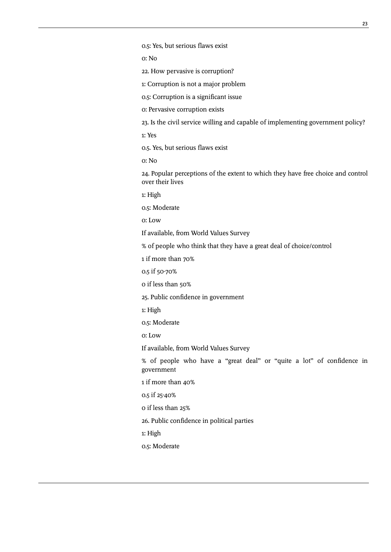0.5: Yes, but serious flaws exist

0: No

22. How pervasive is corruption?

1: Corruption is not a major problem

0.5: Corruption is a significant issue

0: Pervasive corruption exists

23. Is the civil service willing and capable of implementing government policy?

1: Yes

0.5. Yes, but serious flaws exist

0: No

24. Popular perceptions of the extent to which they have free choice and control over their lives

1: High

0.5: Moderate

0: Low

If available, from World Values Survey

% of people who think that they have a great deal of choice/control

1 if more than 70%

0.5 if 50-70%

0 if less than 50%

25. Public confidence in government

1: High

0.5: Moderate

0: Low

If available, from World Values Survey

% of people who have a "great deal" or "quite a lot" of confidence in government

1 if more than 40%

0.5 if 25-40%

0 if less than 25%

26. Public confidence in political parties

1: High

0.5: Moderate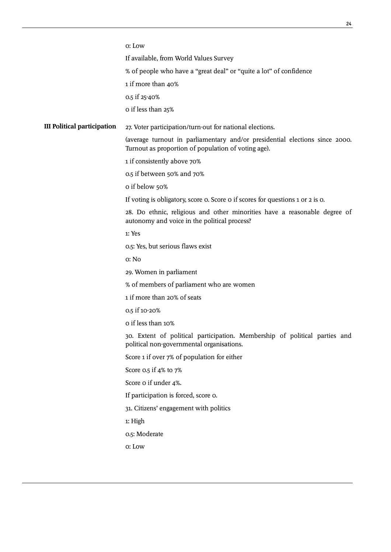|                                    | o: Low                                                                                                                             |
|------------------------------------|------------------------------------------------------------------------------------------------------------------------------------|
|                                    | If available, from World Values Survey                                                                                             |
|                                    | % of people who have a "great deal" or "quite a lot" of confidence                                                                 |
|                                    | 1 if more than 40%                                                                                                                 |
|                                    | 0.5 if 25-40%                                                                                                                      |
|                                    | o if less than 25%                                                                                                                 |
| <b>III Political participation</b> | 27. Voter participation/turn-out for national elections.                                                                           |
|                                    | (average turnout in parliamentary and/or presidential elections since 2000.<br>Turnout as proportion of population of voting age). |
|                                    | 1 if consistently above 70%                                                                                                        |
|                                    | 0.5 if between 50% and 70%                                                                                                         |
|                                    | o if below 50%                                                                                                                     |
|                                    | If voting is obligatory, score o. Score o if scores for questions 1 or 2 is 0.                                                     |
|                                    | 28. Do ethnic, religious and other minorities have a reasonable degree of<br>autonomy and voice in the political process?          |
|                                    | 1: Yes                                                                                                                             |
|                                    | 0.5: Yes, but serious flaws exist                                                                                                  |
|                                    | 0: No                                                                                                                              |
|                                    | 29. Women in parliament                                                                                                            |
|                                    | % of members of parliament who are women                                                                                           |
|                                    | 1 if more than 20% of seats                                                                                                        |
|                                    | 0.5 if 10-20%                                                                                                                      |
|                                    | o if less than 10%                                                                                                                 |
|                                    | 30. Extent of political participation. Membership of political parties and<br>political non-governmental organisations.            |
|                                    | Score 1 if over 7% of population for either                                                                                        |
|                                    | Score 0.5 if 4% to 7%                                                                                                              |
|                                    | Score o if under 4%.                                                                                                               |
|                                    | If participation is forced, score o.                                                                                               |
|                                    | 31. Citizens' engagement with politics                                                                                             |
|                                    | 1: High                                                                                                                            |
|                                    | 0.5: Moderate                                                                                                                      |
|                                    | o: Low                                                                                                                             |
|                                    |                                                                                                                                    |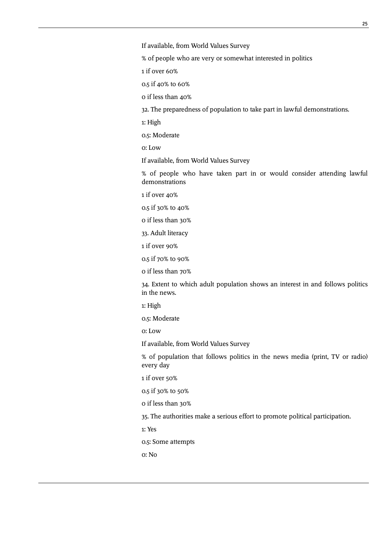If available, from World Values Survey

% of people who are very or somewhat interested in politics

1 if over 60%

0.5 if 40% to 60%

0 if less than 40%

32. The preparedness of population to take part in lawful demonstrations.

1: High

0.5: Moderate

0: Low

If available, from World Values Survey

% of people who have taken part in or would consider attending lawful demonstrations

1 if over 40%

0.5 if 30% to 40%

0 if less than 30%

33. Adult literacy

1 if over 90%

0.5 if 70% to 90%

0 if less than 70%

34. Extent to which adult population shows an interest in and follows politics in the news.

1: High

0.5: Moderate

0: Low

If available, from World Values Survey

% of population that follows politics in the news media (print, TV or radio) every day

1 if over 50%

0.5 if 30% to 50%

0 if less than 30%

35. The authorities make a serious effort to promote political participation.

1: Yes

0.5: Some attempts

0: No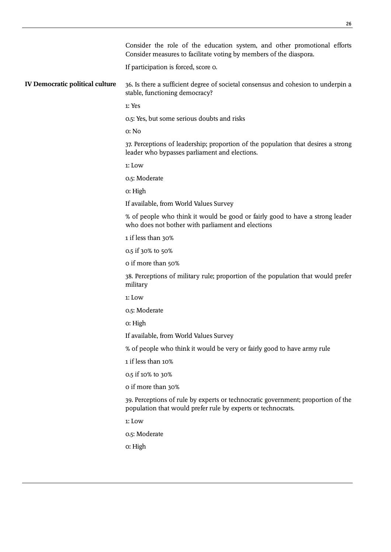|                                        | Consider the role of the education system, and other promotional efforts<br>Consider measures to facilitate voting by members of the diaspora.   |
|----------------------------------------|--------------------------------------------------------------------------------------------------------------------------------------------------|
|                                        | If participation is forced, score o.                                                                                                             |
| <b>IV Democratic political culture</b> | 36. Is there a sufficient degree of societal consensus and cohesion to underpin a<br>stable, functioning democracy?                              |
|                                        | 1: Yes                                                                                                                                           |
|                                        | 0.5: Yes, but some serious doubts and risks                                                                                                      |
|                                        | 0: No                                                                                                                                            |
|                                        | 37. Perceptions of leadership; proportion of the population that desires a strong<br>leader who bypasses parliament and elections.               |
|                                        | 1: Low                                                                                                                                           |
|                                        | 0.5: Moderate                                                                                                                                    |
|                                        | o: High                                                                                                                                          |
|                                        | If available, from World Values Survey                                                                                                           |
|                                        | % of people who think it would be good or fairly good to have a strong leader<br>who does not bother with parliament and elections               |
|                                        | 1 if less than 30%                                                                                                                               |
|                                        | 0.5 if 30% to 50%                                                                                                                                |
|                                        | o if more than 50%                                                                                                                               |
|                                        | 38. Perceptions of military rule; proportion of the population that would prefer<br>military                                                     |
|                                        | 1: Low                                                                                                                                           |
|                                        | 0.5: Moderate                                                                                                                                    |
|                                        | o: High                                                                                                                                          |
|                                        | If available, from World Values Survey                                                                                                           |
|                                        | % of people who think it would be very or fairly good to have army rule                                                                          |
|                                        | 1 if less than 10%                                                                                                                               |
|                                        | 0.5 if 10% to 30%                                                                                                                                |
|                                        | o if more than 30%                                                                                                                               |
|                                        | 39. Perceptions of rule by experts or technocratic government; proportion of the<br>population that would prefer rule by experts or technocrats. |
|                                        | 1: Low                                                                                                                                           |
|                                        | 0.5: Moderate                                                                                                                                    |
|                                        | o: High                                                                                                                                          |
|                                        |                                                                                                                                                  |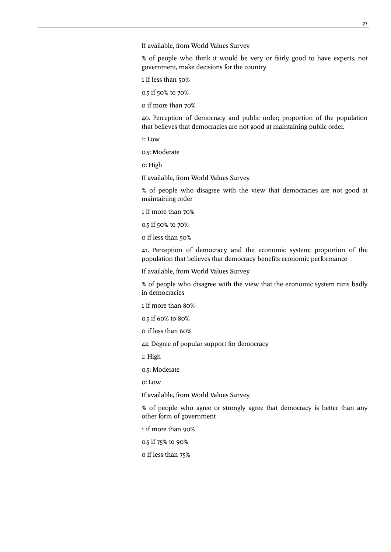If available, from World Values Survey

% of people who think it would be very or fairly good to have experts, not government, make decisions for the country

1 if less than 50%

0.5 if 50% to 70%

0 if more than 70%

40. Perception of democracy and public order; proportion of the population that believes that democracies are not good at maintaining public order.

1: Low

0.5: Moderate

0: High

If available, from World Values Survey

% of people who disagree with the view that democracies are not good at maintaining order

1 if more than 70%

0.5 if 50% to 70%

0 if less than 50%

41. Perception of democracy and the economic system; proportion of the population that believes that democracy benefits economic performance

If available, from World Values Survey

% of people who disagree with the view that the economic system runs badly in democracies

1 if more than 80%

0.5 if 60% to 80%

0 if less than 60%

42. Degree of popular support for democracy

1: High

0.5: Moderate

0: Low

If available, from World Values Survey

% of people who agree or strongly agree that democracy is better than any other form of government

1 if more than 90%

0.5 if 75% to 90%

0 if less than 75%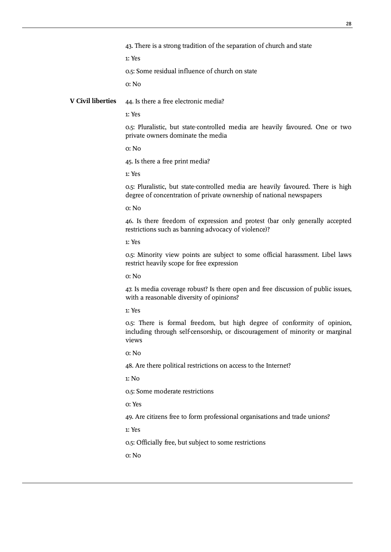43. There is a strong tradition of the separation of church and state

1: Yes

0.5: Some residual influence of church on state

0: No

**V Civil liberties** 44. Is there a free electronic media?

1: Yes

0.5: Pluralistic, but state-controlled media are heavily favoured. One or two private owners dominate the media

0: No

45. Is there a free print media?

1: Yes

0.5: Pluralistic, but state-controlled media are heavily favoured. There is high degree of concentration of private ownership of national newspapers

0: No

46. Is there freedom of expression and protest (bar only generally accepted restrictions such as banning advocacy of violence)?

1: Yes

0.5: Minority view points are subject to some official harassment. Libel laws restrict heavily scope for free expression

0: No

47. Is media coverage robust? Is there open and free discussion of public issues, with a reasonable diversity of opinions?

1: Yes

0.5: There is formal freedom, but high degree of conformity of opinion, including through self-censorship, or discouragement of minority or marginal views

0: No

48. Are there political restrictions on access to the Internet?

1: No

0.5: Some moderate restrictions

0: Yes

49. Are citizens free to form professional organisations and trade unions?

1: Yes

0.5: Officially free, but subject to some restrictions

0: No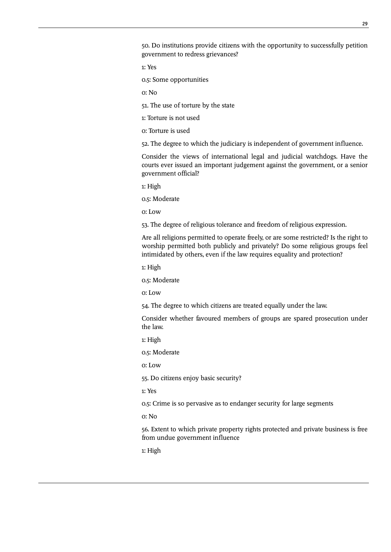50. Do institutions provide citizens with the opportunity to successfully petition government to redress grievances?

1: Yes

0.5: Some opportunities

0: No

51. The use of torture by the state

1: Torture is not used

0: Torture is used

52. The degree to which the judiciary is independent of government influence.

Consider the views of international legal and judicial watchdogs. Have the courts ever issued an important judgement against the government, or a senior government official?

1: High

0.5: Moderate

0: Low

53. The degree of religious tolerance and freedom of religious expression.

Are all religions permitted to operate freely, or are some restricted? Is the right to worship permitted both publicly and privately? Do some religious groups feel intimidated by others, even if the law requires equality and protection?

1: High

0.5: Moderate

0: Low

54. The degree to which citizens are treated equally under the law.

Consider whether favoured members of groups are spared prosecution under the law.

1: High

0.5: Moderate

0: Low

55. Do citizens enjoy basic security?

1: Yes

0.5: Crime is so pervasive as to endanger security for large segments

0: No

56. Extent to which private property rights protected and private business is free from undue government influence

1: High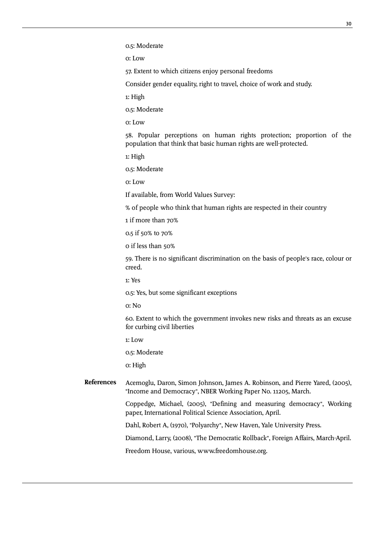0.5: Moderate

0: Low

57. Extent to which citizens enjoy personal freedoms

Consider gender equality, right to travel, choice of work and study.

1: High

0.5: Moderate

0: Low

58. Popular perceptions on human rights protection; proportion of the population that think that basic human rights are well-protected.

1: High

0.5: Moderate

0: Low

If available, from World Values Survey:

% of people who think that human rights are respected in their country

1 if more than 70%

0.5 if 50% to 70%

0 if less than 50%

59. There is no significant discrimination on the basis of people's race, colour or creed.

1: Yes

0.5: Yes, but some significant exceptions

0: No

60. Extent to which the government invokes new risks and threats as an excuse for curbing civil liberties

1: Low

0.5: Moderate

0: High

**References** Acemoglu, Daron, Simon Johnson, James A. Robinson, and Pierre Yared, (2005), "Income and Democracy", NBER Working Paper No. 11205, March.

> Coppedge, Michael, (2005), "Defining and measuring democracy", Working paper, International Political Science Association, April.

Dahl, Robert A, (1970), "Polyarchy", New Haven, Yale University Press.

Diamond, Larry, (2008), "The Democratic Rollback", Foreign Affairs, March-April.

Freedom House, various, www.freedomhouse.org.